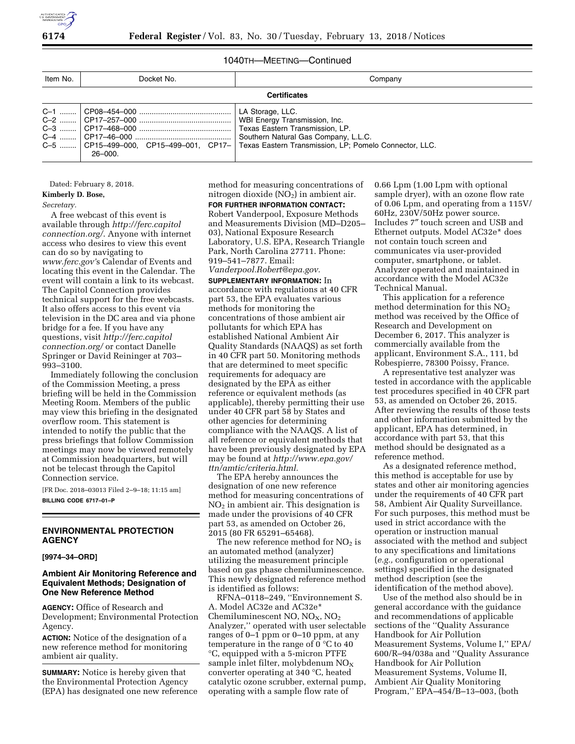# 1040TH—MEETING—Continued

| Item No.            | Docket No. | Company                                                                                                               |
|---------------------|------------|-----------------------------------------------------------------------------------------------------------------------|
| <b>Certificates</b> |            |                                                                                                                       |
|                     | 26-000.    | LA Storage, LLC.<br>C-5    CP15-499-000. CP15-499-001. CP17-   Texas Eastern Transmission. LP: Pomelo Connector. LLC. |

Dated: February 8, 2018.

**Kimberly D. Bose,**  *Secretary.* 

A free webcast of this event is available through *[http://ferc.capitol](http://ferc.capitolconnection.org/) [connection.org/](http://ferc.capitolconnection.org/)*. Anyone with internet access who desires to view this event can do so by navigating to *[www.ferc.gov'](http://www.ferc.gov)*s Calendar of Events and locating this event in the Calendar. The event will contain a link to its webcast. The Capitol Connection provides technical support for the free webcasts. It also offers access to this event via television in the DC area and via phone bridge for a fee. If you have any questions, visit *[http://ferc.capitol](http://ferc.capitolconnection.org/) [connection.org/](http://ferc.capitolconnection.org/)* or contact Danelle Springer or David Reininger at 703– 993–3100.

Immediately following the conclusion of the Commission Meeting, a press briefing will be held in the Commission Meeting Room. Members of the public may view this briefing in the designated overflow room. This statement is intended to notify the public that the press briefings that follow Commission meetings may now be viewed remotely at Commission headquarters, but will not be telecast through the Capitol Connection service.

[FR Doc. 2018–03013 Filed 2–9–18; 11:15 am] **BILLING CODE 6717–01–P** 

### **ENVIRONMENTAL PROTECTION AGENCY**

**[9974–34–ORD]** 

# **Ambient Air Monitoring Reference and Equivalent Methods; Designation of One New Reference Method**

**AGENCY:** Office of Research and Development; Environmental Protection Agency.

**ACTION:** Notice of the designation of a new reference method for monitoring ambient air quality.

**SUMMARY:** Notice is hereby given that the Environmental Protection Agency (EPA) has designated one new reference method for measuring concentrations of nitrogen dioxide  $(NO<sub>2</sub>)$  in ambient air. **FOR FURTHER INFORMATION CONTACT:** 

Robert Vanderpool, Exposure Methods and Measurements Division (MD–D205– 03), National Exposure Research Laboratory, U.S. EPA, Research Triangle Park, North Carolina 27711. Phone: 919–541–7877. Email: *[Vanderpool.Robert@epa.gov.](mailto:Vanderpool.Robert@epa.gov)* 

**SUPPLEMENTARY INFORMATION:** In accordance with regulations at 40 CFR part 53, the EPA evaluates various methods for monitoring the concentrations of those ambient air pollutants for which EPA has established National Ambient Air Quality Standards (NAAQS) as set forth in 40 CFR part 50. Monitoring methods that are determined to meet specific requirements for adequacy are designated by the EPA as either reference or equivalent methods (as applicable), thereby permitting their use under 40 CFR part 58 by States and other agencies for determining compliance with the NAAQS. A list of all reference or equivalent methods that have been previously designated by EPA may be found at *[http://www.epa.gov/](http://www.epa.gov/ttn/amtic/criteria.html)  [ttn/amtic/criteria.html.](http://www.epa.gov/ttn/amtic/criteria.html)* 

The EPA hereby announces the designation of one new reference method for measuring concentrations of  $NO<sub>2</sub>$  in ambient air. This designation is made under the provisions of 40 CFR part 53, as amended on October 26, 2015 (80 FR 65291–65468).

The new reference method for  $NO<sub>2</sub>$  is an automated method (analyzer) utilizing the measurement principle based on gas phase chemiluminescence. This newly designated reference method is identified as follows:

RFNA–0118–249, ''Environnement S. A. Model AC32e and AC32e\* Chemiluminescent NO,  $NO<sub>X</sub>$ ,  $NO<sub>2</sub>$ Analyzer,'' operated with user selectable ranges of 0–1 ppm or 0–10 ppm, at any temperature in the range of  $0^{\circ}$ C to 40 °C, equipped with a 5-micron PTFE sample inlet filter, molybdenum  $NO<sub>X</sub>$ converter operating at 340 °C, heated catalytic ozone scrubber, external pump, operating with a sample flow rate of

0.66 Lpm (1.00 Lpm with optional sample dryer), with an ozone flow rate of 0.06 Lpm, and operating from a 115V/ 60Hz, 230V/50Hz power source. Includes 7″ touch screen and USB and Ethernet outputs. Model AC32e\* does not contain touch screen and communicates via user-provided computer, smartphone, or tablet. Analyzer operated and maintained in accordance with the Model AC32e Technical Manual.

This application for a reference method determination for this  $NO<sub>2</sub>$ method was received by the Office of Research and Development on December 6, 2017. This analyzer is commercially available from the applicant, Environment S.A., 111, bd Robespierre, 78300 Poissy, France.

A representative test analyzer was tested in accordance with the applicable test procedures specified in 40 CFR part 53, as amended on October 26, 2015. After reviewing the results of those tests and other information submitted by the applicant, EPA has determined, in accordance with part 53, that this method should be designated as a reference method.

As a designated reference method, this method is acceptable for use by states and other air monitoring agencies under the requirements of 40 CFR part 58, Ambient Air Quality Surveillance. For such purposes, this method must be used in strict accordance with the operation or instruction manual associated with the method and subject to any specifications and limitations (*e.g.,* configuration or operational settings) specified in the designated method description (see the identification of the method above).

Use of the method also should be in general accordance with the guidance and recommendations of applicable sections of the ''Quality Assurance Handbook for Air Pollution Measurement Systems, Volume I,'' EPA/ 600/R–94/038a and ''Quality Assurance Handbook for Air Pollution Measurement Systems, Volume II, Ambient Air Quality Monitoring Program,'' EPA–454/B–13–003, (both